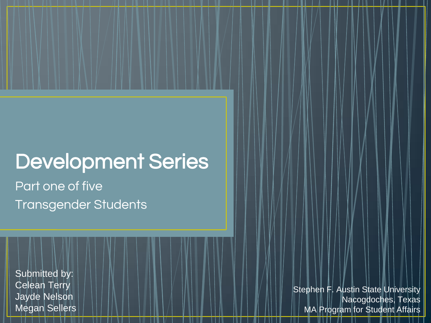# Development Series

Part one of five Transgender Students

Submitted by: Celean Terry Jayde Nelson Megan Sellers

Stephen F. Austin State University Nacogdoches, Texas MA Program for Student Affairs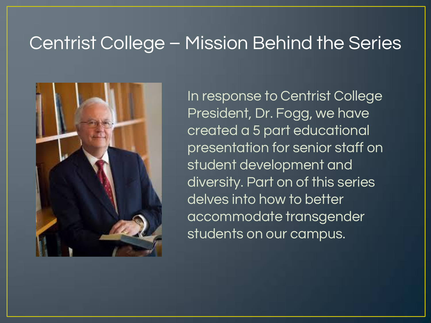#### Centrist College – Mission Behind the Series



In response to Centrist College President, Dr. Fogg, we have created a 5 part educational presentation for senior staff on student development and diversity. Part on of this series delves into how to better accommodate transgender students on our campus.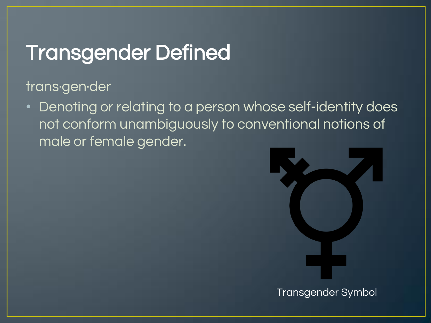# Transgender Defined

trans·gen·der

• Denoting or relating to a person whose self-identity does not conform unambiguously to conventional notions of male or female gender.



Transgender Symbol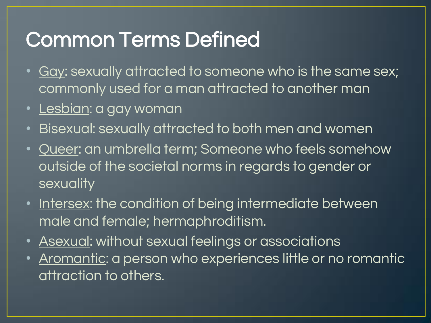# Common Terms Defined

- <u>Gay</u>: sexually attracted to someone who is the same sex; commonly used for a man attracted to another man
- <u>Lesbian</u>: a gay woman
- <u>Bisexual</u>: sexually attracted to both men and women
- Queer: an umbrella term; Someone who feels somehow outside of the societal norms in regards to gender or sexuality
- Intersex: the condition of being intermediate between male and female; hermaphroditism.
- Asexual: without sexual feelings or associations
- Aromantic: a person who experiences little or no romantic attraction to others.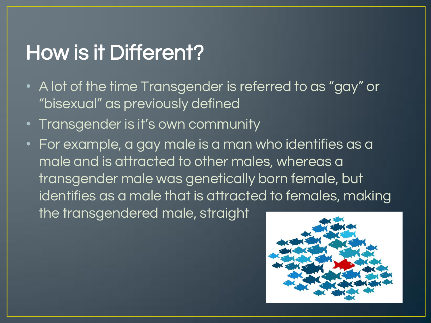# How is it Different?

- A lot of the time Transgender is referred to as "gay" or "bisexual" as previously defined
- Transgender is it's own community
- For example, a gay male is a man who identifies as a male and is attracted to other males, whereas a transgender male was genetically born female, but identifies as a male that is attracted to females, making the transgendered male, straight

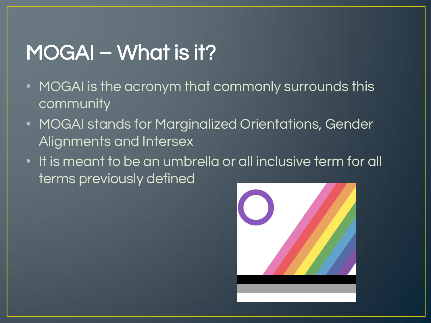# MOGAI – What is it?

- MOGAI is the acronym that commonly surrounds this community
- MOGAI stands for Marginalized Orientations, Gender Alignments and Intersex
- It is meant to be an umbrella or all inclusive term for all terms previously defined

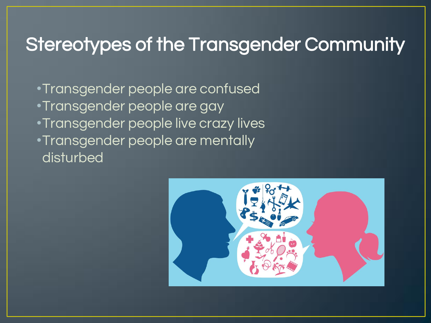### Stereotypes of the Transgender Community

•Transgender people are confused •Transgender people are gay •Transgender people live crazy lives •Transgender people are mentally disturbed

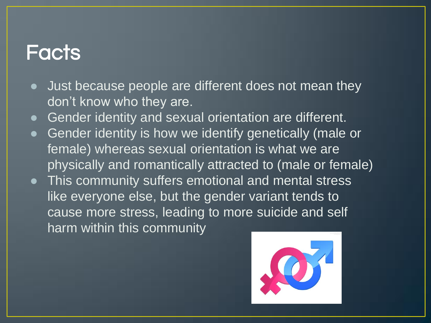#### **Facts**

- Just because people are different does not mean they don't know who they are.
- Gender identity and sexual orientation are different.
- Gender identity is how we identify genetically (male or female) whereas sexual orientation is what we are physically and romantically attracted to (male or female)
- This community suffers emotional and mental stress like everyone else, but the gender variant tends to cause more stress, leading to more suicide and self harm within this community

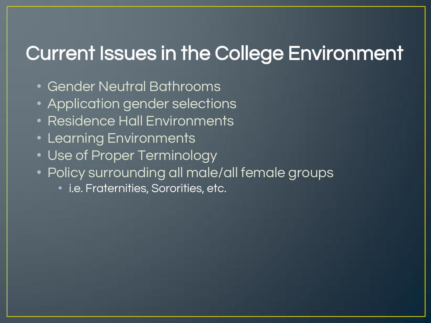### Current Issues in the College Environment

- Gender Neutral Bathrooms
- Application gender selections
- Residence Hall Environments
- Learning Environments
- Use of Proper Terminology
- Policy surrounding all male/all female groups
	- i.e. Fraternities, Sororities, etc.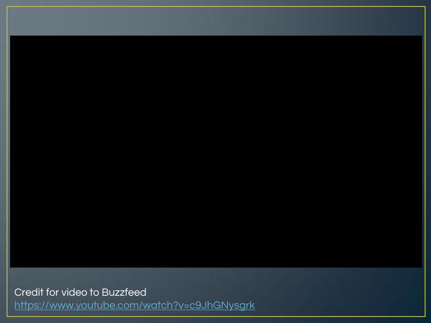Credit for video to Buzzfeed <https://www.youtube.com/watch?v=c9JhGNysgrk>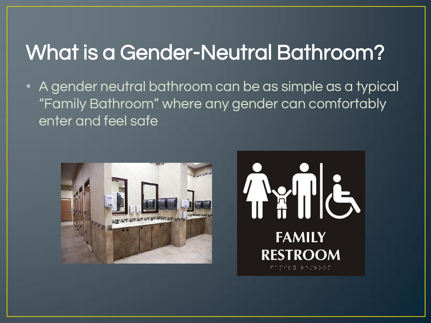# What is a Gender-Neutral Bathroom?

• A gender neutral bathroom can be as simple as a typical "Family Bathroom" where any gender can comfortably enter and feel safe



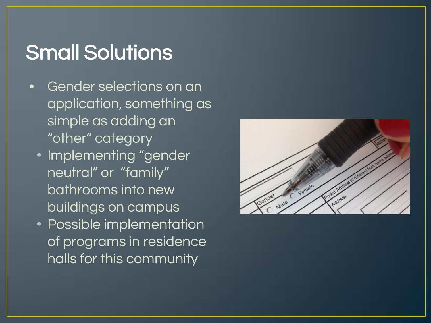# Small Solutions

- Gender selections on an application, something as simple as adding an "other" category
	- Implementing "gender neutral" or "family" bathrooms into new buildings on campus
	- Possible implementation of programs in residence halls for this community

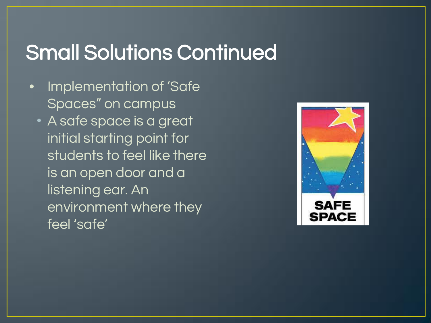# Small Solutions Continued

- Implementation of 'Safe Spaces" on campus
	- A safe space is a great initial starting point for students to feel like there is an open door and a listening ear. An environment where they feel 'safe'

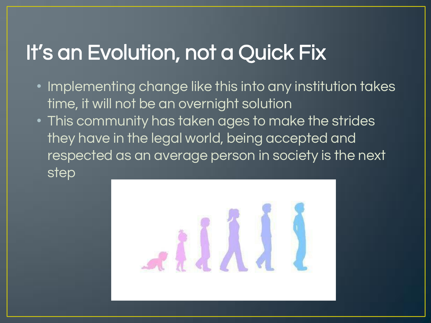# It's an Evolution, not a Quick Fix

- Implementing change like this into any institution takes time, it will not be an overnight solution
- This community has taken ages to make the strides they have in the legal world, being accepted and respected as an average person in society is the next step

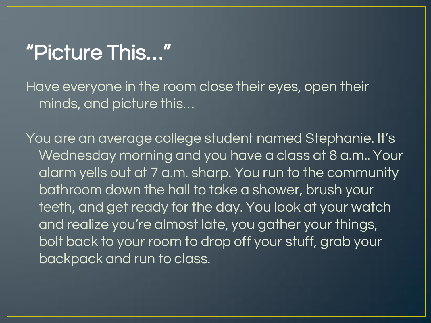## "Picture This…"

Have everyone in the room close their eyes, open their minds, and picture this…

You are an average college student named Stephanie. It's Wednesday morning and you have a class at 8 a.m.. Your alarm yells out at 7 a.m. sharp. You run to the community bathroom down the hall to take a shower, brush your teeth, and get ready for the day. You look at your watch and realize you're almost late, you gather your things, bolt back to your room to drop off your stuff, grab your backpack and run to class.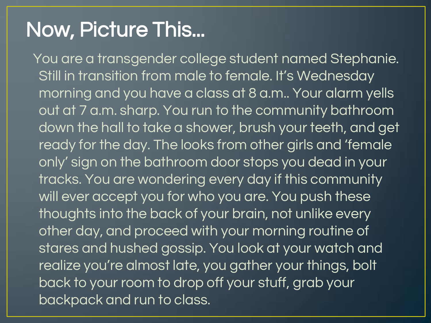# Now, Picture This...

You are a transgender college student named Stephanie. Still in transition from male to female. It's Wednesday morning and you have a class at 8 a.m.. Your alarm yells out at 7 a.m. sharp. You run to the community bathroom, down the hall to take a shower, brush your teeth, and get ready for the day. The looks from other girls and 'female only' sign on the bathroom door stops you dead in your tracks. You are wondering every day if this community will ever accept you for who you are. You push these thoughts into the back of your brain, not unlike every other day, and proceed with your morning routine of stares and hushed gossip. You look at your watch and realize you're almost late, you gather your things, bolt back to your room to drop off your stuff, grab your backpack and run to class.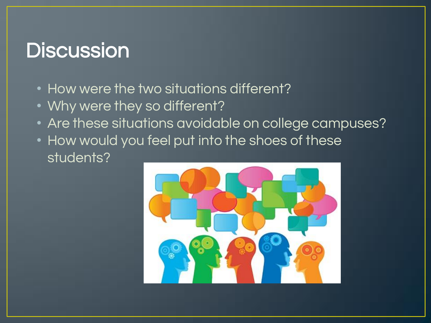### **Discussion**

- How were the two situations different?
- Why were they so different?
- Are these situations avoidable on college campuses?
- How would you feel put into the shoes of these students?

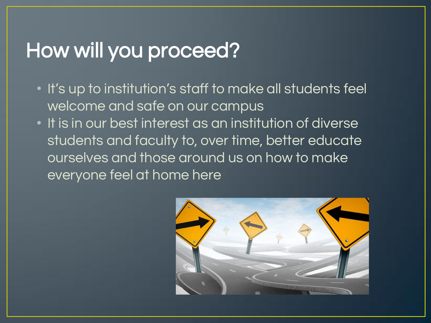# How will you proceed?

- It's up to institution's staff to make all students feel welcome and safe on our campus
- It is in our best interest as an institution of diverse students and faculty to, over time, better educate ourselves and those around us on how to make everyone feel at home here

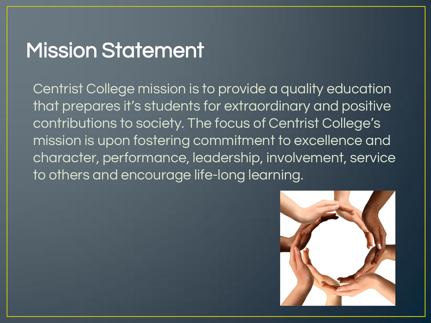## Mission Statement

Centrist College mission is to provide a quality education that prepares it's students for extraordinary and positive contributions to society. The focus of Centrist College's mission is upon fostering commitment to excellence and character, performance, leadership, involvement, service to others and encourage life-long learning.